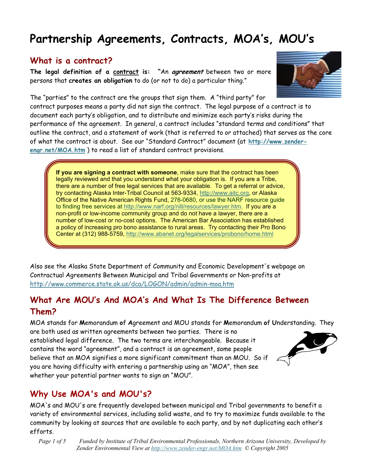# **Partnership Agreements, Contracts, MOA's, MOU's**

#### **What is a contract?**

**The legal definition of a contract is: "**An **agreement** between two or more persons that **creates an obligation** to do (or not to do) a particular thing."



The "parties" to the contract are the groups that sign them. A "third party" for contract purposes means a party did not sign the contract. The legal purpose of a contract is to document each party's obligation, and to distribute and minimize each party's risks during the performance of the agreement. In general, a contract includes "standard terms and conditions" that outline the contract, and a statement of work (that is referred to or attached) that serves as the core [of what the contract is about. See our "Standard Contract" document \(at](http://www.zenderengr.net/MOA.htm) **http://www.zenderengr.net/MOA.htm** ) to read a list of standard contract provisions.

**If you are signing a contract with someone**, make sure that the contract has been legally reviewed and that you understand what your obligation is. If you are a Tribe, there are a number of free legal services that are available. To get a referral or advice, try contacting Alaska Inter-Tribal Council at 563-9334, [http://www.aitc.org,](http://www.aitc.org) or Alaska Office of the Native American Rights Fund, 276-0680, or use the NARF resource guide to finding free services at [http://www.narf.org/nill/resources/lawyer.htm.](http://www.narf.org/nill/resources/lawyer.htm) If you are a non-profit or low-income community group and do not have a lawyer, there are a number of low-cost or no-cost options. The American Bar Association has established a policy of increasing pro bono assistance to rural areas. Try contacting their Pro Bono Center at (312) 988-5759, <http://www.abanet.org/legalservices/probono/home.html>

Also see the Alaska State Department of Community and Economic Development's webpage on Contractual Agreements Between Municipal and Tribal Governments or Non-profits at <http://www.commerce.state.ak.us/dca/LOGON/admin/admin-moa.htm>

### **What Are MOU's And MOA's And What Is The Difference Between Them?**

MOA stands for **M**emorandum **o**f **A**greement and MOU stands for **M**emorandum **o**f **U**nderstanding. They are both used as written agreements between two parties. There is no established legal difference. The two terms are interchangeable. Because it contains the word "agreement", and a contract is an agreement, some people believe that an MOA signifies a more significant commitment than an MOU. So if you are having difficulty with entering a partnership using an "MOA", then see whether your potential partner wants to sign an "MOU".



# **Why Use MOA's and MOU's?**

MOA's and MOU's are frequently developed between municipal and Tribal governments to benefit a variety of environmental services, including solid waste, and to try to maximize funds available to the community by looking at sources that are available to each party, and by not duplicating each other's efforts.

*Page 1 of 5 Funded by Institute of Tribal Environmental Professionals, Northern Arizona University, Developed by Zender Environmental View at <http://www.zender-engr.net/MOA.htm>© Copyright 2005*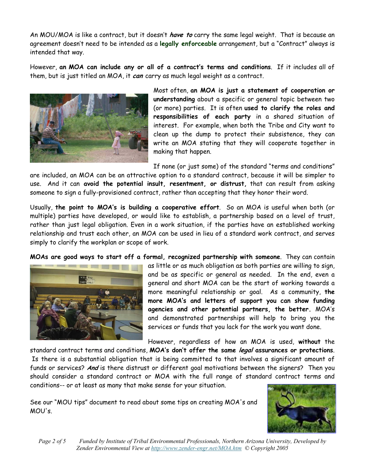An MOU/MOA is like a contract, but it doesn't **have to** carry the same legal weight. That is because an agreement doesn't need to be intended as a **legally enforceable** arrangement, but a "Contract" always is intended that way.

However, **an MOA can include any or all of a contract's terms and conditions**. If it includes all of them, but is just titled an MOA, it **can** carry as much legal weight as a contract.



Most often, **an MOA is just a statement of cooperation or understanding** about a specific or general topic between two (or more) parties. It is often **used to clarify the roles and responsibilities of each party** in a shared situation of interest. For example, when both the Tribe and City want to clean up the dump to protect their subsistence, they can write an MOA stating that they will cooperate together in making that happen.

If none (or just some) of the standard "terms and conditions"

are included, an MOA can be an attractive option to a standard contract, because it will be simpler to use. And it can **avoid the potential insult, resentment, or distrust,** that can result from asking someone to sign a fully-provisioned contract, rather than accepting that they honor their word.

Usually, **the point to MOA's is building a cooperative effort**. So an MOA is useful when both (or multiple) parties have developed, or would like to establish, a partnership based on a level of trust, rather than just legal obligation. Even in a work situation, if the parties have an established working relationship and trust each other, an MOA can be used in lieu of a standard work contract, and serves simply to clarify the workplan or scope of work.

**MOAs are good ways to start off a formal, recognized partnership with someone**. They can contain



as little or as much obligation as both parties are willing to sign, and be as specific or general as needed. In the end, even a general and short MOA can be the start of working towards a more meaningful relationship or goal. As a community, **the more MOA's and letters of support you can show funding agencies and other potential partners, the better.** MOA's and demonstrated partnerships will help to bring you the services or funds that you lack for the work you want done.

However, regardless of how an MOA is used, **without** the

standard contract terms and conditions, **MOA's don't offer the same legal assurances or protections**. Is there is a substantial obligation that is being committed to that involves a significant amount of funds or services? **And** is there distrust or different goal motivations between the signers? Then you should consider a standard contract or MOA with the full range of standard contract terms and conditions-- or at least as many that make sense for your situation.

See our "MOU tips" document to read about some tips on creating MOA's and MOU's.



*Page 2 of 5 Funded by Institute of Tribal Environmental Professionals, Northern Arizona University, Developed by Zender Environmental View at <http://www.zender-engr.net/MOA.htm>© Copyright 2005*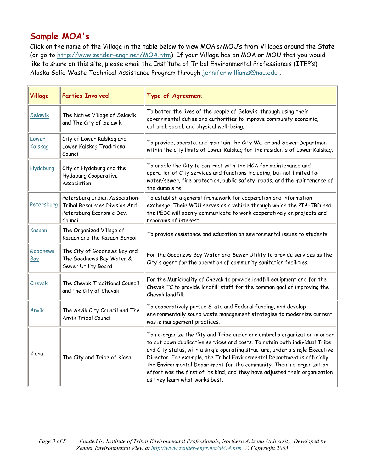# **Sample MOA's**

Click on the name of the Village in the table below to view MOA's/MOU's from Villages around the State (or go to <http://www.zender-engr.net/MOA.htm>). If your Village has an MOA or MOU that you would like to share on this site, please email the Institute of Tribal Environmental Professionals (ITEP's) Alaska Solid Waste Technical Assistance Program through jennifer.williams@nau.edu .

| Village          | <b>Parties Involved</b>                                                                                | Type of Agreement                                                                                                                                                                                                                                                                                                                                                                                                                                                                                               |
|------------------|--------------------------------------------------------------------------------------------------------|-----------------------------------------------------------------------------------------------------------------------------------------------------------------------------------------------------------------------------------------------------------------------------------------------------------------------------------------------------------------------------------------------------------------------------------------------------------------------------------------------------------------|
| Selawik          | The Native Village of Selawik<br>and The City of Selawik                                               | To better the lives of the people of Selawik, through using their<br>governmental duties and authorities to improve community economic,<br>cultural, social, and physical well-being.                                                                                                                                                                                                                                                                                                                           |
| Lower<br>Kalskag | City of Lower Kalskag and<br>Lower Kalskag Traditional<br>Council                                      | To provide, operate, and maintain the City Water and Sewer Department<br>within the city limits of Lower Kalskag for the residents of Lower Kalskag.                                                                                                                                                                                                                                                                                                                                                            |
| Hydaburg         | City of Hydaburg and the<br>Hydaburg Cooperative<br>Association                                        | To enable the City to contract with the HCA for maintenance and<br>operation of City services and functions including, but not limited to:<br>water/sewer, fire protection, public safety, roads, and the maintenance of<br>the dump site                                                                                                                                                                                                                                                                       |
| Petersburg       | Petersburg Indian Association-<br>Tribal Resources Division And<br>Petersburg Economic Dev.<br>Council | To establish a general framework for cooperation and information<br>exchange. Their MOU serves as a vehicle through which the PIA-TRD and<br>the PEDC will openly communicate to work cooperatively on projects and<br>programs of interest                                                                                                                                                                                                                                                                     |
| Kasaan           | The Organized Village of<br>Kasaan and the Kasaan School                                               | To provide assistance and education on environmental issues to students.                                                                                                                                                                                                                                                                                                                                                                                                                                        |
| Goodnews<br>Bay  | The City of Goodnews Bay and<br>The Goodnews Bay Water &<br>Sewer Utility Board                        | For the Goodnews Bay Water and Sewer Utility to provide services as the<br>City's agent for the operation of community sanitation facilities.                                                                                                                                                                                                                                                                                                                                                                   |
| Chevak           | The Chevak Traditional Council<br>and the City of Chevak                                               | For the Municipality of Chevak to provide landfill equipment and for the<br>Chevak TC to provide landfill staff for the common goal of improving the<br>Chevak landfill.                                                                                                                                                                                                                                                                                                                                        |
| <b>Anvik</b>     | The Anvik City Council and The<br><b>Anvik Tribal Council</b>                                          | To cooperatively pursue State and Federal funding, and develop<br>environmentally sound waste management strategies to modernize current<br>waste management practices.                                                                                                                                                                                                                                                                                                                                         |
| Kiana            | The City and Tribe of Kiana                                                                            | To re-organize the City and Tribe under one umbrella organization in order<br>to cut down duplicative services and costs. To retain both individual Tribe<br>and City status, with a single operating structure, under a single Executive<br>Director. For example, the Tribal Environmental Department is officially<br>the Environmental Department for the community. Their re-organization<br>effort was the first of its kind, and they have adjusted their organization<br>as they learn what works best. |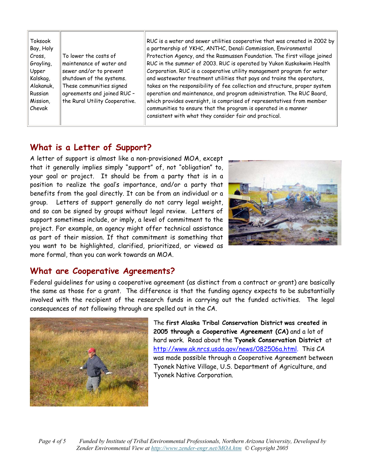#### **What is a Letter of Support?**

A letter of support is almost like a non-provisioned MOA, except that it generally implies simply "support" of, not "obligation" to, your goal or project. It should be from a party that is in a position to realize the goal's importance, and/or a party that benefits from the goal directly. It can be from an individual or a group. Letters of support generally do not carry legal weight, and so can be signed by groups without legal review. Letters of support sometimes include, or imply, a level of commitment to the project. For example, an agency might offer technical assistance as part of their mission. If that commitment is something that you want to be highlighted, clarified, prioritized, or viewed as more formal, than you can work towards an MOA.



#### **What are Cooperative Agreements?**

Federal guidelines for using a cooperative agreement (as distinct from a contract or grant) are basically the same as those for a grant. The difference is that the funding agency expects to be substantially involved with the recipient of the research funds in carrying out the funded activities. The legal consequences of not following through are spelled out in the CA.



The **first Alaska Tribal Conservation District was created in 2005 through a Cooperative Agreement (CA)** and a lot of hard work. Read about the **Tyonek Conservation District** at [http://www.ak.nrcs.usda.gov/news/082506a.html.](http://www.ak.nrcs.usda.gov/news/082506a.html) This CA was made possible through a Cooperative Agreement between Tyonek Native Village, U.S. Department of Agriculture, and Tyonek Native Corporation.